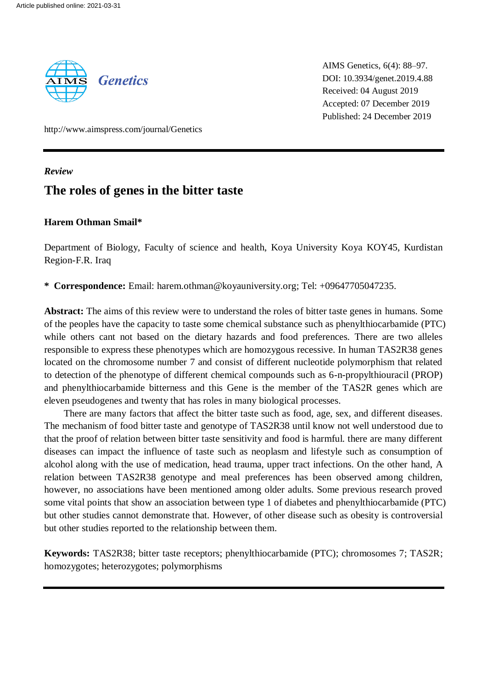

AIMS Genetics, 6(4): 88–97. DOI: 10.3934/genet.2019.4.88 Received: 04 August 2019 Accepted: 07 December 2019 Published: 24 December 2019

http://www.aimspress.com/journal/Genetics

*Review*

# **The roles of genes in the bitter taste**

# **Harem Othman Smail\***

Department of Biology, Faculty of science and health, Koya University Koya KOY45, Kurdistan Region-F.R. Iraq

**\* Correspondence:** Email: harem.othman@koyauniversity.org; Tel: +09647705047235.

**Abstract:** The aims of this review were to understand the roles of bitter taste genes in humans. Some of the peoples have the capacity to taste some chemical substance such as phenylthiocarbamide (PTC) while others cant not based on the dietary hazards and food preferences. There are two alleles responsible to express these phenotypes which are homozygous recessive. In human TAS2R38 genes located on the chromosome number 7 and consist of different nucleotide polymorphism that related to detection of the phenotype of different chemical compounds such as 6-n-propylthiouracil (PROP) and phenylthiocarbamide bitterness and this Gene is the member of the TAS2R genes which are eleven pseudogenes and twenty that has roles in many biological processes.

There are many factors that affect the bitter taste such as food, age, sex, and different diseases. The mechanism of food bitter taste and genotype of TAS2R38 until know not well understood due to that the proof of relation between bitter taste sensitivity and food is harmful. there are many different diseases can impact the influence of taste such as neoplasm and lifestyle such as consumption of alcohol along with the use of medication, head trauma, upper tract infections. On the other hand, A relation between TAS2R38 genotype and meal preferences has been observed among children, however, no associations have been mentioned among older adults. Some previous research proved some vital points that show an association between type 1 of diabetes and phenylthiocarbamide (PTC) but other studies cannot demonstrate that. However, of other disease such as obesity is controversial but other studies reported to the relationship between them.

**Keywords:** TAS2R38; bitter taste receptors; phenylthiocarbamide (PTC); chromosomes 7; TAS2R; homozygotes; heterozygotes; polymorphisms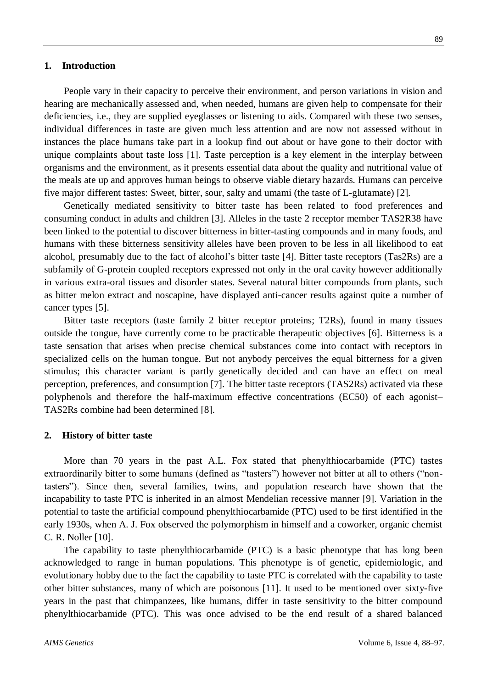#### **1. Introduction**

People vary in their capacity to perceive their environment, and person variations in vision and hearing are mechanically assessed and, when needed, humans are given help to compensate for their deficiencies, i.e., they are supplied eyeglasses or listening to aids. Compared with these two senses, individual differences in taste are given much less attention and are now not assessed without in instances the place humans take part in a lookup find out about or have gone to their doctor with unique complaints about taste loss [1]. Taste perception is a key element in the interplay between organisms and the environment, as it presents essential data about the quality and nutritional value of the meals ate up and approves human beings to observe viable dietary hazards. Humans can perceive five major different tastes: Sweet, bitter, sour, salty and umami (the taste of L-glutamate) [2].

Genetically mediated sensitivity to bitter taste has been related to food preferences and consuming conduct in adults and children [3]. Alleles in the taste 2 receptor member TAS2R38 have been linked to the potential to discover bitterness in bitter-tasting compounds and in many foods, and humans with these bitterness sensitivity alleles have been proven to be less in all likelihood to eat alcohol, presumably due to the fact of alcohol's bitter taste [4]. Bitter taste receptors (Tas2Rs) are a subfamily of G-protein coupled receptors expressed not only in the oral cavity however additionally in various extra-oral tissues and disorder states. Several natural bitter compounds from plants, such as bitter melon extract and noscapine, have displayed anti-cancer results against quite a number of cancer types [5].

Bitter taste receptors (taste family 2 bitter receptor proteins; T2Rs), found in many tissues outside the tongue, have currently come to be practicable therapeutic objectives [6]. Bitterness is a taste sensation that arises when precise chemical substances come into contact with receptors in specialized cells on the human tongue. But not anybody perceives the equal bitterness for a given stimulus; this character variant is partly genetically decided and can have an effect on meal perception, preferences, and consumption [7]. The bitter taste receptors (TAS2Rs) activated via these polyphenols and therefore the half-maximum effective concentrations (EC50) of each agonist– TAS2Rs combine had been determined [8].

#### **2. History of bitter taste**

More than 70 years in the past A.L. Fox stated that phenylthiocarbamide (PTC) tastes extraordinarily bitter to some humans (defined as "tasters") however not bitter at all to others ("nontasters"). Since then, several families, twins, and population research have shown that the incapability to taste PTC is inherited in an almost Mendelian recessive manner [9]. Variation in the potential to taste the artificial compound phenylthiocarbamide (PTC) used to be first identified in the early 1930s, when A. J. Fox observed the polymorphism in himself and a coworker, organic chemist C. R. Noller [10].

The capability to taste phenylthiocarbamide (PTC) is a basic phenotype that has long been acknowledged to range in human populations. This phenotype is of genetic, epidemiologic, and evolutionary hobby due to the fact the capability to taste PTC is correlated with the capability to taste other bitter substances, many of which are poisonous [11]. It used to be mentioned over sixty-five years in the past that chimpanzees, like humans, differ in taste sensitivity to the bitter compound phenylthiocarbamide (PTC). This was once advised to be the end result of a shared balanced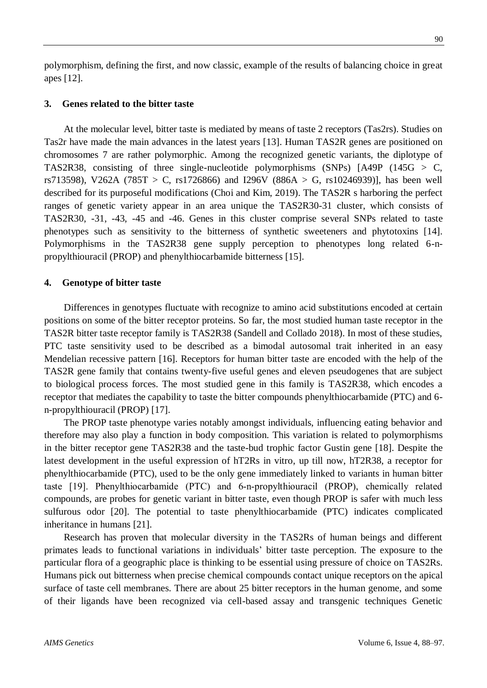polymorphism, defining the first, and now classic, example of the results of balancing choice in great apes [12].

# **3. Genes related to the bitter taste**

At the molecular level, bitter taste is mediated by means of taste 2 receptors (Tas2rs). Studies on Tas2r have made the main advances in the latest years [13]. Human TAS2R genes are positioned on chromosomes 7 are rather polymorphic. Among the recognized genetic variants, the diplotype of TAS2R38, consisting of three single-nucleotide polymorphisms (SNPs) [A49P (145G  $>$  C, rs713598), V262A (785T > C, rs1726866) and I296V (886A > G, rs10246939)], has been well described for its purposeful modifications (Choi and Kim, 2019). The TAS2R s harboring the perfect ranges of genetic variety appear in an area unique the TAS2R30-31 cluster, which consists of TAS2R30, -31, -43, -45 and -46. Genes in this cluster comprise several SNPs related to taste phenotypes such as sensitivity to the bitterness of synthetic sweeteners and phytotoxins [14]. Polymorphisms in the TAS2R38 gene supply perception to phenotypes long related 6-npropylthiouracil (PROP) and phenylthiocarbamide bitterness [15].

### **4. Genotype of bitter taste**

Differences in genotypes fluctuate with recognize to amino acid substitutions encoded at certain positions on some of the bitter receptor proteins. So far, the most studied human taste receptor in the TAS2R bitter taste receptor family is TAS2R38 (Sandell and Collado 2018). In most of these studies, PTC taste sensitivity used to be described as a bimodal autosomal trait inherited in an easy Mendelian recessive pattern [16]. Receptors for human bitter taste are encoded with the help of the TAS2R gene family that contains twenty-five useful genes and eleven pseudogenes that are subject to biological process forces. The most studied gene in this family is TAS2R38, which encodes a receptor that mediates the capability to taste the bitter compounds phenylthiocarbamide (PTC) and 6 n-propylthiouracil (PROP) [17].

The PROP taste phenotype varies notably amongst individuals, influencing eating behavior and therefore may also play a function in body composition. This variation is related to polymorphisms in the bitter receptor gene TAS2R38 and the taste-bud trophic factor Gustin gene [18]. Despite the latest development in the useful expression of hT2Rs in vitro, up till now, hT2R38, a receptor for phenylthiocarbamide (PTC), used to be the only gene immediately linked to variants in human bitter taste [19]. Phenylthiocarbamide (PTC) and 6‐n‐propylthiouracil (PROP), chemically related compounds, are probes for genetic variant in bitter taste, even though PROP is safer with much less sulfurous odor [20]. The potential to taste phenylthiocarbamide (PTC) indicates complicated inheritance in humans [21].

Research has proven that molecular diversity in the TAS2Rs of human beings and different primates leads to functional variations in individuals' bitter taste perception. The exposure to the particular flora of a geographic place is thinking to be essential using pressure of choice on TAS2Rs. Humans pick out bitterness when precise chemical compounds contact unique receptors on the apical surface of taste cell membranes. There are about 25 bitter receptors in the human genome, and some of their ligands have been recognized via cell-based assay and transgenic techniques Genetic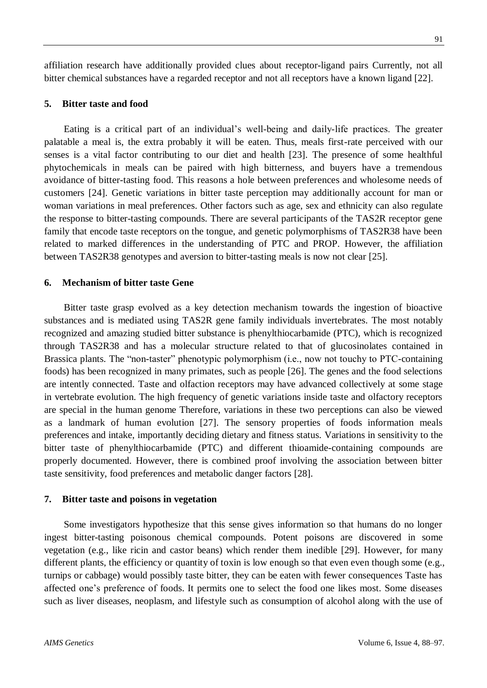affiliation research have additionally provided clues about receptor-ligand pairs Currently, not all bitter chemical substances have a regarded receptor and not all receptors have a known ligand [22].

# **5. Bitter taste and food**

Eating is a critical part of an individual's well-being and daily-life practices. The greater palatable a meal is, the extra probably it will be eaten. Thus, meals first-rate perceived with our senses is a vital factor contributing to our diet and health [23]. The presence of some healthful phytochemicals in meals can be paired with high bitterness, and buyers have a tremendous avoidance of bitter-tasting food. This reasons a hole between preferences and wholesome needs of customers [24]. Genetic variations in bitter taste perception may additionally account for man or woman variations in meal preferences. Other factors such as age, sex and ethnicity can also regulate the response to bitter-tasting compounds. There are several participants of the TAS2R receptor gene family that encode taste receptors on the tongue, and genetic polymorphisms of TAS2R38 have been related to marked differences in the understanding of PTC and PROP. However, the affiliation between TAS2R38 genotypes and aversion to bitter-tasting meals is now not clear [25].

# **6. Mechanism of bitter taste Gene**

Bitter taste grasp evolved as a key detection mechanism towards the ingestion of bioactive substances and is mediated using TAS2R gene family individuals invertebrates. The most notably recognized and amazing studied bitter substance is phenylthiocarbamide (PTC), which is recognized through TAS2R38 and has a molecular structure related to that of glucosinolates contained in Brassica plants. The "non-taster" phenotypic polymorphism (i.e., now not touchy to PTC-containing foods) has been recognized in many primates, such as people [26]. The genes and the food selections are intently connected. Taste and olfaction receptors may have advanced collectively at some stage in vertebrate evolution. The high frequency of genetic variations inside taste and olfactory receptors are special in the human genome Therefore, variations in these two perceptions can also be viewed as a landmark of human evolution [27]. The sensory properties of foods information meals preferences and intake, importantly deciding dietary and fitness status. Variations in sensitivity to the bitter taste of phenylthiocarbamide (PTC) and different thioamide-containing compounds are properly documented. However, there is combined proof involving the association between bitter taste sensitivity, food preferences and metabolic danger factors [28].

#### **7. Bitter taste and poisons in vegetation**

Some investigators hypothesize that this sense gives information so that humans do no longer ingest bitter-tasting poisonous chemical compounds. Potent poisons are discovered in some vegetation (e.g., like ricin and castor beans) which render them inedible [29]. However, for many different plants, the efficiency or quantity of toxin is low enough so that even even though some (e.g., turnips or cabbage) would possibly taste bitter, they can be eaten with fewer consequences Taste has affected one's preference of foods. It permits one to select the food one likes most. Some diseases such as liver diseases, neoplasm, and lifestyle such as consumption of alcohol along with the use of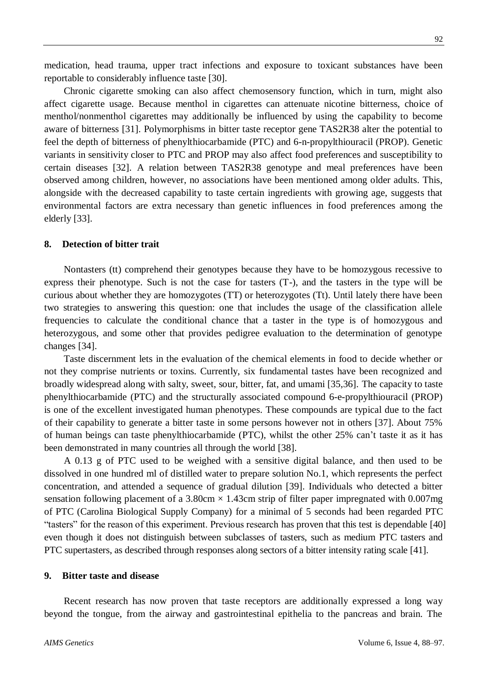medication, head trauma, upper tract infections and exposure to toxicant substances have been reportable to considerably influence taste [30].

Chronic cigarette smoking can also affect chemosensory function, which in turn, might also affect cigarette usage. Because menthol in cigarettes can attenuate nicotine bitterness, choice of menthol/nonmenthol cigarettes may additionally be influenced by using the capability to become aware of bitterness [31]. Polymorphisms in bitter taste receptor gene TAS2R38 alter the potential to feel the depth of bitterness of phenylthiocarbamide (PTC) and 6-n-propylthiouracil (PROP). Genetic variants in sensitivity closer to PTC and PROP may also affect food preferences and susceptibility to certain diseases [32]. A relation between TAS2R38 genotype and meal preferences have been observed among children, however, no associations have been mentioned among older adults. This, alongside with the decreased capability to taste certain ingredients with growing age, suggests that environmental factors are extra necessary than genetic influences in food preferences among the elderly [33].

### **8. Detection of bitter trait**

Nontasters (tt) comprehend their genotypes because they have to be homozygous recessive to express their phenotype. Such is not the case for tasters (T-), and the tasters in the type will be curious about whether they are homozygotes (TT) or heterozygotes (Tt). Until lately there have been two strategies to answering this question: one that includes the usage of the classification allele frequencies to calculate the conditional chance that a taster in the type is of homozygous and heterozygous, and some other that provides pedigree evaluation to the determination of genotype changes [34].

Taste discernment lets in the evaluation of the chemical elements in food to decide whether or not they comprise nutrients or toxins. Currently, six fundamental tastes have been recognized and broadly widespread along with salty, sweet, sour, bitter, fat, and umami [35,36]. The capacity to taste phenylthiocarbamide (PTC) and the structurally associated compound 6-e-propylthiouracil (PROP) is one of the excellent investigated human phenotypes. These compounds are typical due to the fact of their capability to generate a bitter taste in some persons however not in others [37]. About 75% of human beings can taste phenylthiocarbamide (PTC), whilst the other 25% can't taste it as it has been demonstrated in many countries all through the world [38].

A 0.13 g of PTC used to be weighed with a sensitive digital balance, and then used to be dissolved in one hundred ml of distilled water to prepare solution No.1, which represents the perfect concentration, and attended a sequence of gradual dilution [39]. Individuals who detected a bitter sensation following placement of a 3.80cm  $\times$  1.43cm strip of filter paper impregnated with 0.007mg of PTC (Carolina Biological Supply Company) for a minimal of 5 seconds had been regarded PTC "tasters" for the reason of this experiment. Previous research has proven that this test is dependable [40] even though it does not distinguish between subclasses of tasters, such as medium PTC tasters and PTC supertasters, as described through responses along sectors of a bitter intensity rating scale [41].

### **9. Bitter taste and disease**

Recent research has now proven that taste receptors are additionally expressed a long way beyond the tongue, from the airway and gastrointestinal epithelia to the pancreas and brain. The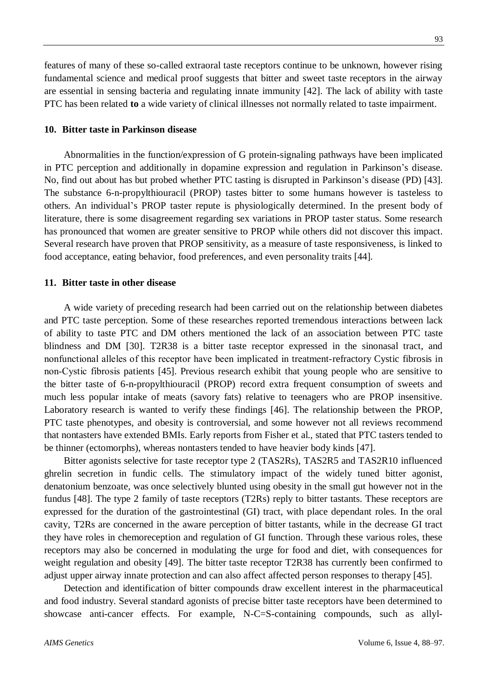features of many of these so-called extraoral taste receptors continue to be unknown, however rising fundamental science and medical proof suggests that bitter and sweet taste receptors in the airway are essential in sensing bacteria and regulating innate immunity [42]. The lack of ability with taste PTC has been related **to** a wide variety of clinical illnesses not normally related to taste impairment.

### **10. Bitter taste in Parkinson disease**

Abnormalities in the function/expression of G protein-signaling pathways have been implicated in PTC perception and additionally in dopamine expression and regulation in Parkinson's disease. No, find out about has but probed whether PTC tasting is disrupted in Parkinson's disease (PD) [43]. The substance 6-n-propylthiouracil (PROP) tastes bitter to some humans however is tasteless to others. An individual's PROP taster repute is physiologically determined. In the present body of literature, there is some disagreement regarding sex variations in PROP taster status. Some research has pronounced that women are greater sensitive to PROP while others did not discover this impact. Several research have proven that PROP sensitivity, as a measure of taste responsiveness, is linked to food acceptance, eating behavior, food preferences, and even personality traits [44].

### **11. Bitter taste in other disease**

A wide variety of preceding research had been carried out on the relationship between diabetes and PTC taste perception. Some of these researches reported tremendous interactions between lack of ability to taste PTC and DM others mentioned the lack of an association between PTC taste blindness and DM [30]. T2R38 is a bitter taste receptor expressed in the sinonasal tract, and nonfunctional alleles of this receptor have been implicated in treatment‐refractory Cystic fibrosis in non‐Cystic fibrosis patients [45]. Previous research exhibit that young people who are sensitive to the bitter taste of 6-n-propylthiouracil (PROP) record extra frequent consumption of sweets and much less popular intake of meats (savory fats) relative to teenagers who are PROP insensitive. Laboratory research is wanted to verify these findings [46]. The relationship between the PROP, PTC taste phenotypes, and obesity is controversial, and some however not all reviews recommend that nontasters have extended BMIs. Early reports from Fisher et al., stated that PTC tasters tended to be thinner (ectomorphs), whereas nontasters tended to have heavier body kinds [47].

Bitter agonists selective for taste receptor type 2 (TAS2Rs), TAS2R5 and TAS2R10 influenced ghrelin secretion in fundic cells. The stimulatory impact of the widely tuned bitter agonist, denatonium benzoate, was once selectively blunted using obesity in the small gut however not in the fundus [48]. The type 2 family of taste receptors (T2Rs) reply to bitter tastants. These receptors are expressed for the duration of the gastrointestinal (GI) tract, with place dependant roles. In the oral cavity, T2Rs are concerned in the aware perception of bitter tastants, while in the decrease GI tract they have roles in chemoreception and regulation of GI function. Through these various roles, these receptors may also be concerned in modulating the urge for food and diet, with consequences for weight regulation and obesity [49]. The bitter taste receptor T2R38 has currently been confirmed to adjust upper airway innate protection and can also affect affected person responses to therapy [45].

Detection and identification of bitter compounds draw excellent interest in the pharmaceutical and food industry. Several standard agonists of precise bitter taste receptors have been determined to showcase anti-cancer effects. For example, N-C=S-containing compounds, such as allyl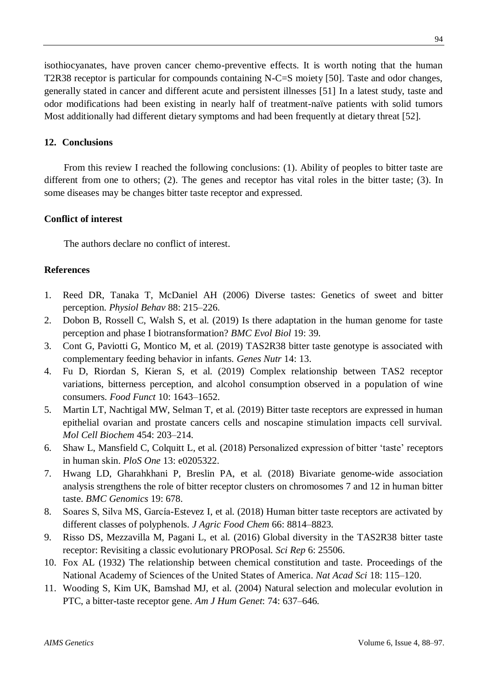isothiocyanates, have proven cancer chemo-preventive effects. It is worth noting that the human T2R38 receptor is particular for compounds containing N-C=S moiety [50]. Taste and odor changes, generally stated in cancer and different acute and persistent illnesses [51] In a latest study, taste and odor modifications had been existing in nearly half of treatment-naïve patients with solid tumors Most additionally had different dietary symptoms and had been frequently at dietary threat [52].

# **12. Conclusions**

From this review I reached the following conclusions: (1). Ability of peoples to bitter taste are different from one to others; (2). The genes and receptor has vital roles in the bitter taste; (3). In some diseases may be changes bitter taste receptor and expressed.

# **Conflict of interest**

The authors declare no conflict of interest.

# **References**

- 1. Reed DR, Tanaka T, McDaniel AH (2006) Diverse tastes: Genetics of sweet and bitter perception. *Physiol Behav* 88: 215–226.
- 2. Dobon B, Rossell C, Walsh S, et al. (2019) Is there adaptation in the human genome for taste perception and phase I biotransformation? *BMC Evol Biol* 19: 39.
- 3. Cont G, Paviotti G, Montico M, et al. (2019) TAS2R38 bitter taste genotype is associated with complementary feeding behavior in infants. *Genes Nutr* 14: 13.
- 4. Fu D, Riordan S, Kieran S, et al. (2019) Complex relationship between TAS2 receptor variations, bitterness perception, and alcohol consumption observed in a population of wine consumers. *Food Funct* 10: 1643–1652.
- 5. Martin LT, Nachtigal MW, Selman T, et al. (2019) Bitter taste receptors are expressed in human epithelial ovarian and prostate cancers cells and noscapine stimulation impacts cell survival. *Mol Cell Biochem* 454: 203–214.
- 6. Shaw L, Mansfield C, Colquitt L, et al. (2018) Personalized expression of bitter 'taste' receptors in human skin. *PloS One* 13: e0205322.
- 7. Hwang LD, Gharahkhani P, Breslin PA, et al. (2018) Bivariate genome-wide association analysis strengthens the role of bitter receptor clusters on chromosomes 7 and 12 in human bitter taste. *BMC Genomics* 19: 678.
- 8. Soares S, Silva MS, García-Estevez I, et al. (2018) Human bitter taste receptors are activated by different classes of polyphenols. *J Agric Food Chem* 66: 8814–8823.
- 9. Risso DS, Mezzavilla M, Pagani L, et al. (2016) Global diversity in the TAS2R38 bitter taste receptor: Revisiting a classic evolutionary PROPosal. *Sci Rep* 6: 25506.
- 10. Fox AL (1932) The relationship between chemical constitution and taste. Proceedings of the National Academy of Sciences of the United States of America. *Nat Acad Sci* 18: 115–120.
- 11. Wooding S, Kim UK, Bamshad MJ, et al. (2004) Natural selection and molecular evolution in PTC, a bitter-taste receptor gene. *Am J Hum Genet*: 74: 637–646.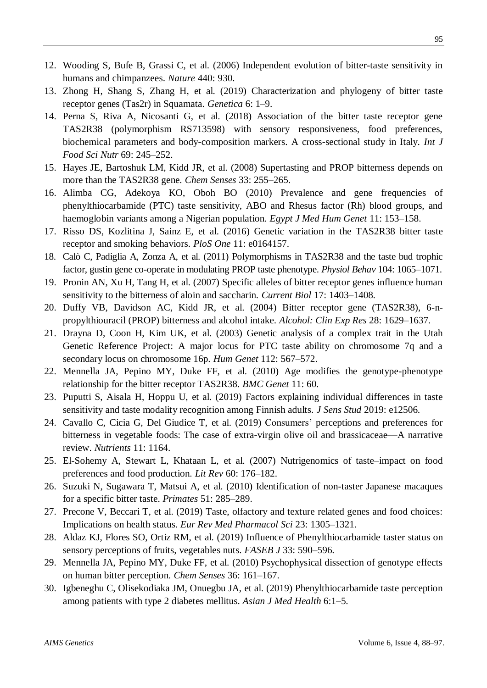- 12. Wooding S, Bufe B, Grassi C, et al. (2006) Independent evolution of bitter-taste sensitivity in humans and chimpanzees. *Nature* 440: 930.
- 13. Zhong H, Shang S, Zhang H, et al. (2019) Characterization and phylogeny of bitter taste receptor genes (Tas2r) in Squamata. *Genetica* 6: 1–9.
- 14. Perna S, Riva A, Nicosanti G, et al. (2018) Association of the bitter taste receptor gene TAS2R38 (polymorphism RS713598) with sensory responsiveness, food preferences, biochemical parameters and body-composition markers. A cross-sectional study in Italy. *Int J Food Sci Nutr* 69: 245–252.
- 15. Hayes JE, Bartoshuk LM, Kidd JR, et al. (2008) Supertasting and PROP bitterness depends on more than the TAS2R38 gene. *Chem Senses* 33: 255–265.
- 16. Alimba CG, Adekoya KO, Oboh BO (2010) Prevalence and gene frequencies of phenylthiocarbamide (PTC) taste sensitivity, ABO and Rhesus factor (Rh) blood groups, and haemoglobin variants among a Nigerian population. *Egypt J Med Hum Genet* 11: 153–158.
- 17. Risso DS, Kozlitina J, Sainz E, et al. (2016) Genetic variation in the TAS2R38 bitter taste receptor and smoking behaviors. *PloS One* 11: e0164157.
- 18. Calò C, Padiglia A, Zonza A, et al. (2011) Polymorphisms in TAS2R38 and the taste bud trophic factor, gustin gene co-operate in modulating PROP taste phenotype. *Physiol Behav* 104: 1065–1071.
- 19. Pronin AN, Xu H, Tang H, et al. (2007) Specific alleles of bitter receptor genes influence human sensitivity to the bitterness of aloin and saccharin. *Current Biol* 17: 1403–1408.
- 20. Duffy VB, Davidson AC, Kidd JR, et al. (2004) Bitter receptor gene (TAS2R38), 6-npropylthiouracil (PROP) bitterness and alcohol intake. *Alcohol: Clin Exp Res* 28: 1629–1637.
- 21. Drayna D, Coon H, Kim UK, et al. (2003) Genetic analysis of a complex trait in the Utah Genetic Reference Project: A major locus for PTC taste ability on chromosome 7q and a secondary locus on chromosome 16p. *Hum Genet* 112: 567–572.
- 22. Mennella JA, Pepino MY, Duke FF, et al. (2010) Age modifies the genotype-phenotype relationship for the bitter receptor TAS2R38. *BMC Genet* 11: 60.
- 23. Puputti S, Aisala H, Hoppu U, et al. (2019) Factors explaining individual differences in taste sensitivity and taste modality recognition among Finnish adults. *J Sens Stud* 2019: e12506.
- 24. Cavallo C, Cicia G, Del Giudice T, et al. (2019) Consumers' perceptions and preferences for bitterness in vegetable foods: The case of extra-virgin olive oil and brassicaceae—A narrative review. *Nutrients* 11: 1164.
- 25. El-Sohemy A, Stewart L, Khataan L, et al. (2007) Nutrigenomics of taste–impact on food preferences and food production. *Lit Rev* 60: 176–182.
- 26. Suzuki N, Sugawara T, Matsui A, et al. (2010) Identification of non-taster Japanese macaques for a specific bitter taste. *Primates* 51: 285–289.
- 27. Precone V, Beccari T, et al. (2019) Taste, olfactory and texture related genes and food choices: Implications on health status. *Eur Rev Med Pharmacol Sci* 23: 1305–1321.
- 28. Aldaz KJ, Flores SO, Ortiz RM, et al. (2019) Influence of Phenylthiocarbamide taster status on sensory perceptions of fruits, vegetables nuts. *FASEB J* 33: 590–596.
- 29. Mennella JA, Pepino MY, Duke FF, et al. (2010) Psychophysical dissection of genotype effects on human bitter perception. *Chem Senses* 36: 161–167.
- 30. Igbeneghu C, Olisekodiaka JM, Onuegbu JA, et al. (2019) Phenylthiocarbamide taste perception among patients with type 2 diabetes mellitus. *Asian J Med Health* 6:1–5.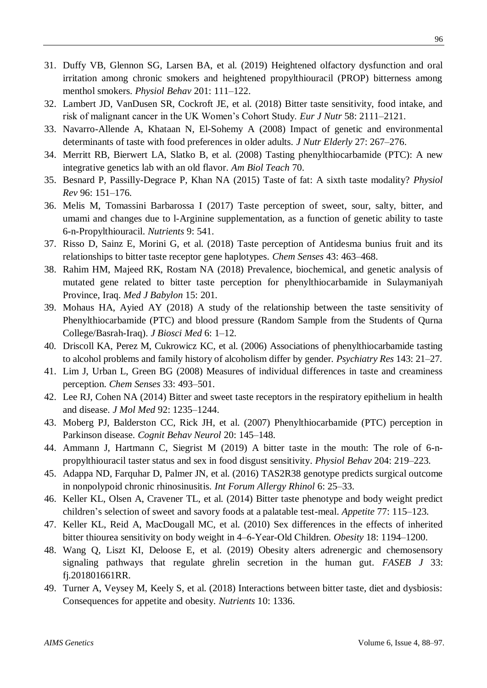- 31. Duffy VB, Glennon SG, Larsen BA, et al. (2019) Heightened olfactory dysfunction and oral irritation among chronic smokers and heightened propylthiouracil (PROP) bitterness among menthol smokers. *Physiol Behav* 201: 111–122.
- 32. Lambert JD, VanDusen SR, Cockroft JE, et al. (2018) Bitter taste sensitivity, food intake, and risk of malignant cancer in the UK Women's Cohort Study. *Eur J Nutr* 58: 2111–2121.
- 33. Navarro-Allende A, Khataan N, El-Sohemy A (2008) Impact of genetic and environmental determinants of taste with food preferences in older adults. *J Nutr Elderly* 27: 267–276.
- 34. Merritt RB, Bierwert LA, Slatko B, et al. (2008) Tasting phenylthiocarbamide (PTC): A new integrative genetics lab with an old flavor. *Am Biol Teach* 70.
- 35. Besnard P, Passilly-Degrace P, Khan NA (2015) Taste of fat: A sixth taste modality? *Physiol Rev* 96: 151–176.
- 36. Melis M, Tomassini Barbarossa I (2017) Taste perception of sweet, sour, salty, bitter, and umami and changes due to l-Arginine supplementation, as a function of genetic ability to taste 6-n-Propylthiouracil. *Nutrients* 9: 541.
- 37. Risso D, Sainz E, Morini G, et al. (2018) Taste perception of Antidesma bunius fruit and its relationships to bitter taste receptor gene haplotypes. *Chem Senses* 43: 463–468.
- 38. Rahim HM, Majeed RK, Rostam NA (2018) Prevalence, biochemical, and genetic analysis of mutated gene related to bitter taste perception for phenylthiocarbamide in Sulaymaniyah Province, Iraq. *Med J Babylon* 15: 201.
- 39. Mohaus HA, Ayied AY (2018) A study of the relationship between the taste sensitivity of Phenylthiocarbamide (PTC) and blood pressure (Random Sample from the Students of Qurna College/Basrah-Iraq). *J Biosci Med* 6: 1–12.
- 40. Driscoll KA, Perez M, Cukrowicz KC, et al. (2006) Associations of phenylthiocarbamide tasting to alcohol problems and family history of alcoholism differ by gender. *Psychiatry Res* 143: 21–27.
- 41. Lim J, Urban L, Green BG (2008) Measures of individual differences in taste and creaminess perception. *Chem Senses* 33: 493–501.
- 42. Lee RJ, Cohen NA (2014) Bitter and sweet taste receptors in the respiratory epithelium in health and disease. *J Mol Med* 92: 1235–1244.
- 43. Moberg PJ, Balderston CC, Rick JH, et al. (2007) Phenylthiocarbamide (PTC) perception in Parkinson disease. *Cognit Behav Neurol* 20: 145–148.
- 44. Ammann J, Hartmann C, Siegrist M (2019) A bitter taste in the mouth: The role of 6-npropylthiouracil taster status and sex in food disgust sensitivity. *Physiol Behav* 204: 219–223.
- 45. Adappa ND, Farquhar D, Palmer JN, et al. (2016) TAS2R38 genotype predicts surgical outcome in nonpolypoid chronic rhinosinusitis. *Int Forum Allergy Rhinol* 6: 25–33.
- 46. Keller KL, Olsen A, Cravener TL, et al. (2014) Bitter taste phenotype and body weight predict children's selection of sweet and savory foods at a palatable test-meal. *Appetite* 77: 115–123.
- 47. Keller KL, Reid A, MacDougall MC, et al. (2010) Sex differences in the effects of inherited bitter thiourea sensitivity on body weight in 4–6‐Year‐Old Children. *Obesity* 18: 1194–1200.
- 48. Wang Q, Liszt KI, Deloose E, et al. (2019) Obesity alters adrenergic and chemosensory signaling pathways that regulate ghrelin secretion in the human gut. *FASEB J* 33: fj.201801661RR.
- 49. Turner A, Veysey M, Keely S, et al. (2018) Interactions between bitter taste, diet and dysbiosis: Consequences for appetite and obesity. *Nutrients* 10: 1336.